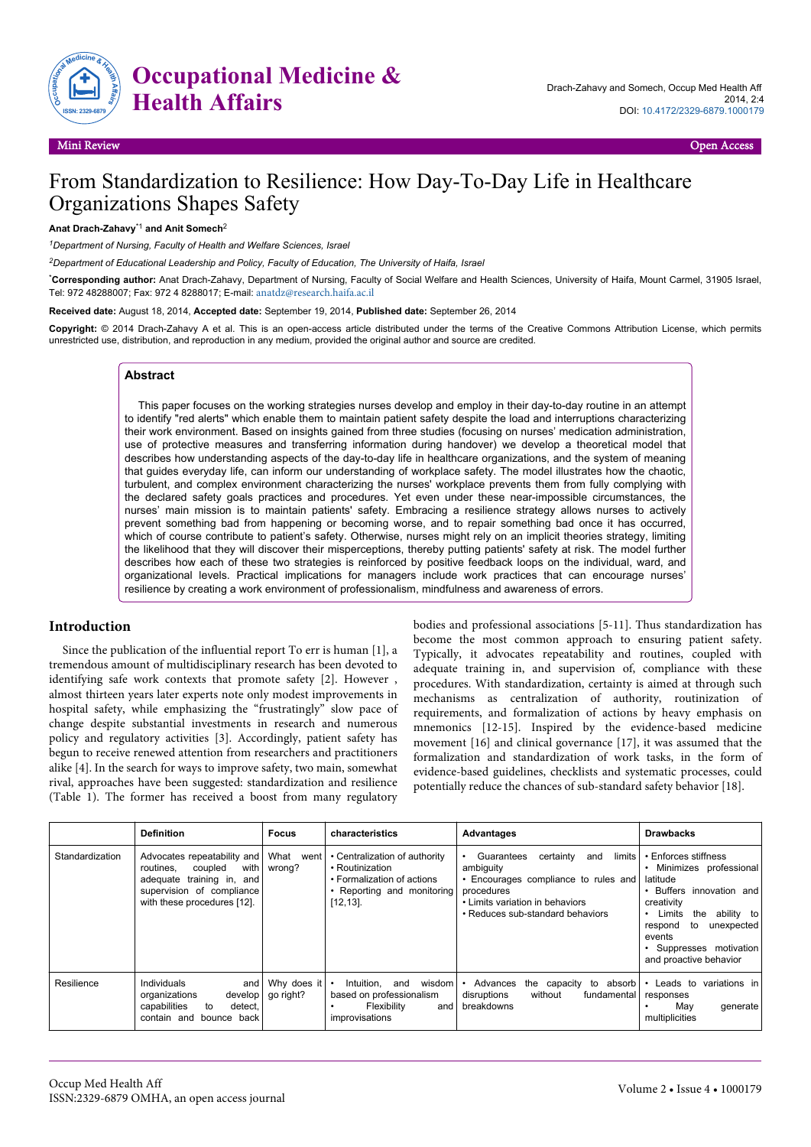

# From Standardization to Resilience: How Day-To-Day Life in Healthcare Organizations Shapes Safety

#### **Anat Drach-Zahavy**\*1 **and Anit Somech**<sup>2</sup>

*<sup>1</sup>Department of Nursing, Faculty of Health and Welfare Sciences, Israel*

*<sup>2</sup>Department of Educational Leadership and Policy, Faculty of Education, The University of Haifa, Israel*

\***Corresponding author:** Anat Drach-Zahavy, Department of Nursing, Faculty of Social Welfare and Health Sciences, University of Haifa, Mount Carmel, 31905 Israel, Tel: 972 48288007; Fax: 972 4 8288017; E-mail: [anatdz@research.haifa.ac.il](mailto:anatdz@research.haifa.ac.il)

**Received date:** August 18, 2014, **Accepted date:** September 19, 2014, **Published date:** September 26, 2014

**Copyright:** © 2014 Drach-Zahavy A et al. This is an open-access article distributed under the terms of the Creative Commons Attribution License, which permits unrestricted use, distribution, and reproduction in any medium, provided the original author and source are credited.

#### **Abstract**

This paper focuses on the working strategies nurses develop and employ in their day-to-day routine in an attempt to identify "red alerts" which enable them to maintain patient safety despite the load and interruptions characterizing their work environment. Based on insights gained from three studies (focusing on nurses' medication administration, use of protective measures and transferring information during handover) we develop a theoretical model that describes how understanding aspects of the day-to-day life in healthcare organizations, and the system of meaning that guides everyday life, can inform our understanding of workplace safety. The model illustrates how the chaotic, turbulent, and complex environment characterizing the nurses' workplace prevents them from fully complying with the declared safety goals practices and procedures. Yet even under these near-impossible circumstances, the nurses' main mission is to maintain patients' safety. Embracing a resilience strategy allows nurses to actively prevent something bad from happening or becoming worse, and to repair something bad once it has occurred, which of course contribute to patient's safety. Otherwise, nurses might rely on an implicit theories strategy, limiting the likelihood that they will discover their misperceptions, thereby putting patients' safety at risk. The model further describes how each of these two strategies is reinforced by positive feedback loops on the individual, ward, and organizational levels. Practical implications for managers include work practices that can encourage nurses' resilience by creating a work environment of professionalism, mindfulness and awareness of errors.

#### **Introduction**

Since the publication of the influential report To err is human [1], a tremendous amount of multidisciplinary research has been devoted to identifying safe work contexts that promote safety [2]. However , almost thirteen years later experts note only modest improvements in hospital safety, while emphasizing the "frustratingly" slow pace of change despite substantial investments in research and numerous policy and regulatory activities [3]. Accordingly, patient safety has begun to receive renewed attention from researchers and practitioners alike [4]. In the search for ways to improve safety, two main, somewhat rival, approaches have been suggested: standardization and resilience (Table 1). The former has received a boost from many regulatory bodies and professional associations [5-11]. Thus standardization has become the most common approach to ensuring patient safety. Typically, it advocates repeatability and routines, coupled with adequate training in, and supervision of, compliance with these procedures. With standardization, certainty is aimed at through such mechanisms as centralization of authority, routinization of requirements, and formalization of actions by heavy emphasis on mnemonics [12-15]. Inspired by the evidence-based medicine movement [16] and clinical governance [17], it was assumed that the formalization and standardization of work tasks, in the form of evidence-based guidelines, checklists and systematic processes, could potentially reduce the chances of sub-standard safety behavior [18].

|                 | <b>Definition</b>                                                                                                                                       | <b>Focus</b>                     | characteristics                                                                                                              | Advantages                                                                                                                                                                         | <b>Drawbacks</b>                                                                                                                                                                                                              |
|-----------------|---------------------------------------------------------------------------------------------------------------------------------------------------------|----------------------------------|------------------------------------------------------------------------------------------------------------------------------|------------------------------------------------------------------------------------------------------------------------------------------------------------------------------------|-------------------------------------------------------------------------------------------------------------------------------------------------------------------------------------------------------------------------------|
| Standardization | Advocates repeatability and<br>with<br>coupled<br>routines.<br>adequate training in,<br>and<br>supervision of compliance<br>with these procedures [12]. | What<br>went l<br>wrong?         | • Centralization of authority<br>• Routinization<br>• Formalization of actions<br>• Reporting and monitoring<br>$[12, 13]$ . | limits<br>Guarantees<br>certainty<br>and<br>ambiguity<br>• Encourages compliance to rules and<br>procedures<br>• Limits variation in behaviors<br>• Reduces sub-standard behaviors | • Enforces stiffness<br>Minimizes professional<br>latitude<br>Buffers innovation and<br>creativity<br>Limits<br>ability to<br>the<br>unexpected<br>respond<br>to<br>events<br>Suppresses motivation<br>and proactive behavior |
| Resilience      | Individuals<br>and  <br>organizations<br>develop<br>capabilities<br>detect.<br>to<br>contain and<br>bounce back                                         | Why does it $\cdot$<br>go right? | wisdom l<br>Intuition.<br>and<br>based on professionalism<br>Flexibility<br>andl<br>improvisations                           | Advances<br>absorb l<br>the capacity<br>to<br>without<br>fundamental<br>disruptions<br>breakdowns                                                                                  | variations in<br>Leads to<br>responses<br>May<br>generate<br>multiplicities                                                                                                                                                   |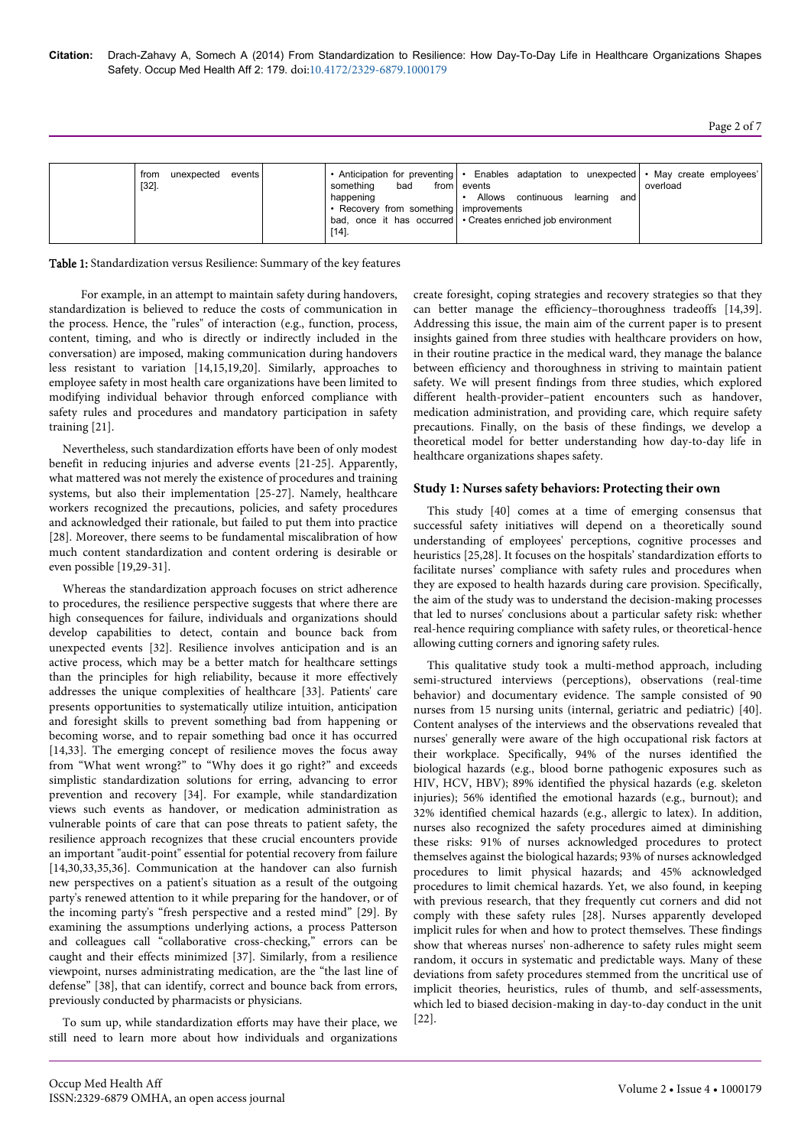| unexpected events<br>from<br>$[32].$ | from Levents<br>bad<br>something<br>happening<br>• Recovery from something improvements<br>$[14]$ . | • Anticipation for preventing • Enables adaptation to unexpected • May create employees'<br>Allows continuous learning and<br>bad, once it has occurred   • Creates enriched job environment | overload |
|--------------------------------------|-----------------------------------------------------------------------------------------------------|----------------------------------------------------------------------------------------------------------------------------------------------------------------------------------------------|----------|
|--------------------------------------|-----------------------------------------------------------------------------------------------------|----------------------------------------------------------------------------------------------------------------------------------------------------------------------------------------------|----------|

Table 1: Standardization versus Resilience: Summary of the key features

For example, in an attempt to maintain safety during handovers, standardization is believed to reduce the costs of communication in the process. Hence, the "rules" of interaction (e.g., function, process, content, timing, and who is directly or indirectly included in the conversation) are imposed, making communication during handovers less resistant to variation [14,15,19,20]. Similarly, approaches to employee safety in most health care organizations have been limited to modifying individual behavior through enforced compliance with safety rules and procedures and mandatory participation in safety training [21].

Nevertheless, such standardization efforts have been of only modest benefit in reducing injuries and adverse events [21-25]. Apparently, what mattered was not merely the existence of procedures and training systems, but also their implementation [25-27]. Namely, healthcare workers recognized the precautions, policies, and safety procedures and acknowledged their rationale, but failed to put them into practice [28]. Moreover, there seems to be fundamental miscalibration of how much content standardization and content ordering is desirable or even possible [19,29-31].

Whereas the standardization approach focuses on strict adherence to procedures, the resilience perspective suggests that where there are high consequences for failure, individuals and organizations should develop capabilities to detect, contain and bounce back from unexpected events [32]. Resilience involves anticipation and is an active process, which may be a better match for healthcare settings than the principles for high reliability, because it more effectively addresses the unique complexities of healthcare [33]. Patients' care presents opportunities to systematically utilize intuition, anticipation and foresight skills to prevent something bad from happening or becoming worse, and to repair something bad once it has occurred [14,33]. The emerging concept of resilience moves the focus away from "What went wrong?" to "Why does it go right?" and exceeds simplistic standardization solutions for erring, advancing to error prevention and recovery [34]. For example, while standardization views such events as handover, or medication administration as vulnerable points of care that can pose threats to patient safety, the resilience approach recognizes that these crucial encounters provide an important "audit-point" essential for potential recovery from failure [14,30,33,35,36]. Communication at the handover can also furnish new perspectives on a patient's situation as a result of the outgoing party's renewed attention to it while preparing for the handover, or of the incoming party's "fresh perspective and a rested mind" [29]. By examining the assumptions underlying actions, a process Patterson and colleagues call "collaborative cross-checking," errors can be caught and their effects minimized [37]. Similarly, from a resilience viewpoint, nurses administrating medication, are the "the last line of defense" [38], that can identify, correct and bounce back from errors, previously conducted by pharmacists or physicians.

To sum up, while standardization efforts may have their place, we still need to learn more about how individuals and organizations create foresight, coping strategies and recovery strategies so that they can better manage the efficiency–thoroughness tradeoffs [14,39]. Addressing this issue, the main aim of the current paper is to present insights gained from three studies with healthcare providers on how, in their routine practice in the medical ward, they manage the balance between efficiency and thoroughness in striving to maintain patient safety. We will present findings from three studies, which explored different health-provider–patient encounters such as handover, medication administration, and providing care, which require safety precautions. Finally, on the basis of these findings, we develop a theoretical model for better understanding how day-to-day life in healthcare organizations shapes safety.

#### **Study 1: Nurses safety behaviors: Protecting their own**

This study [40] comes at a time of emerging consensus that successful safety initiatives will depend on a theoretically sound understanding of employees' perceptions, cognitive processes and heuristics [25,28]. It focuses on the hospitals' standardization efforts to facilitate nurses' compliance with safety rules and procedures when they are exposed to health hazards during care provision. Specifically, the aim of the study was to understand the decision-making processes that led to nurses' conclusions about a particular safety risk: whether real-hence requiring compliance with safety rules, or theoretical-hence allowing cutting corners and ignoring safety rules.

This qualitative study took a multi-method approach, including semi-structured interviews (perceptions), observations (real-time behavior) and documentary evidence. The sample consisted of 90 nurses from 15 nursing units (internal, geriatric and pediatric) [40]. Content analyses of the interviews and the observations revealed that nurses' generally were aware of the high occupational risk factors at their workplace. Specifically, 94% of the nurses identified the biological hazards (e.g., blood borne pathogenic exposures such as HIV, HCV, HBV); 89% identified the physical hazards (e.g. skeleton injuries); 56% identified the emotional hazards (e.g., burnout); and 32% identified chemical hazards (e.g., allergic to latex). In addition, nurses also recognized the safety procedures aimed at diminishing these risks: 91% of nurses acknowledged procedures to protect themselves against the biological hazards; 93% of nurses acknowledged procedures to limit physical hazards; and 45% acknowledged procedures to limit chemical hazards. Yet, we also found, in keeping with previous research, that they frequently cut corners and did not comply with these safety rules [28]. Nurses apparently developed implicit rules for when and how to protect themselves. These findings show that whereas nurses' non-adherence to safety rules might seem random, it occurs in systematic and predictable ways. Many of these deviations from safety procedures stemmed from the uncritical use of implicit theories, heuristics, rules of thumb, and self-assessments, which led to biased decision-making in day-to-day conduct in the unit [22].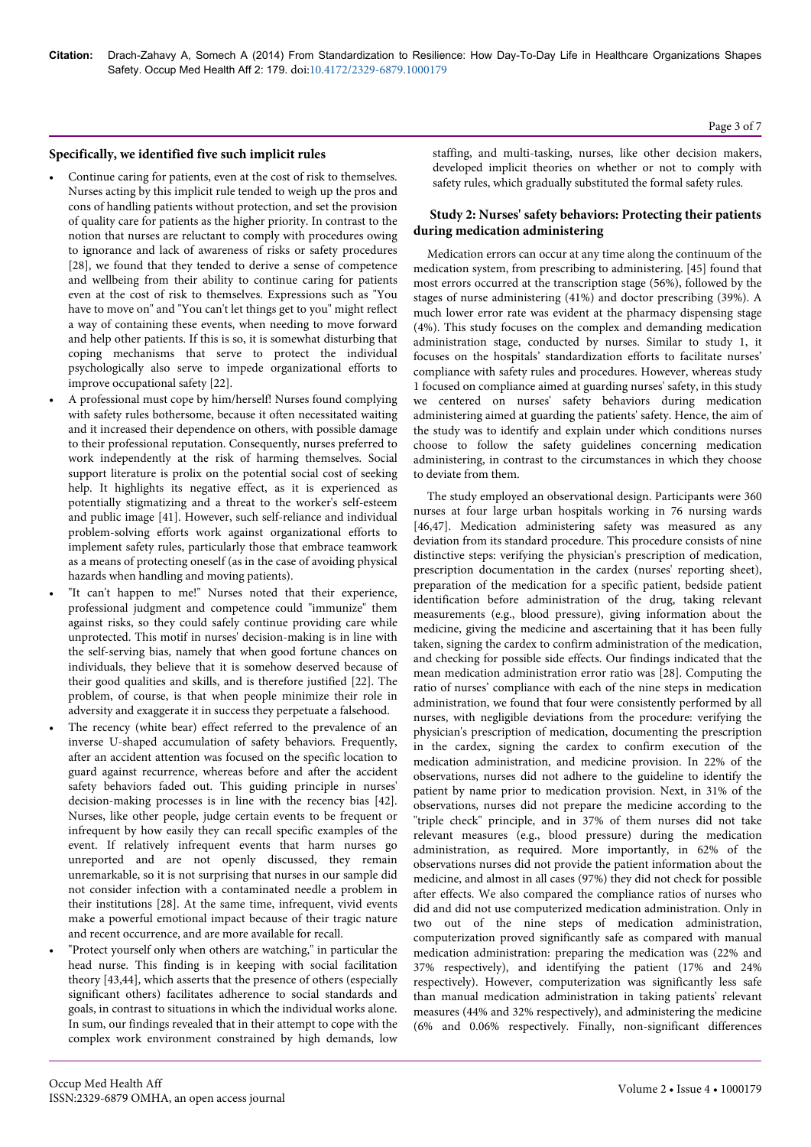#### **Specifically, we identified five such implicit rules**

- Continue caring for patients, even at the cost of risk to themselves. Nurses acting by this implicit rule tended to weigh up the pros and cons of handling patients without protection, and set the provision of quality care for patients as the higher priority. In contrast to the notion that nurses are reluctant to comply with procedures owing to ignorance and lack of awareness of risks or safety procedures [28], we found that they tended to derive a sense of competence and wellbeing from their ability to continue caring for patients even at the cost of risk to themselves. Expressions such as "You have to move on" and "You can't let things get to you" might reflect a way of containing these events, when needing to move forward and help other patients. If this is so, it is somewhat disturbing that coping mechanisms that serve to protect the individual psychologically also serve to impede organizational efforts to improve occupational safety [22].
- A professional must cope by him/herself! Nurses found complying with safety rules bothersome, because it often necessitated waiting and it increased their dependence on others, with possible damage to their professional reputation. Consequently, nurses preferred to work independently at the risk of harming themselves. Social support literature is prolix on the potential social cost of seeking help. It highlights its negative effect, as it is experienced as potentially stigmatizing and a threat to the worker's self-esteem and public image [41]. However, such self-reliance and individual problem-solving efforts work against organizational efforts to implement safety rules, particularly those that embrace teamwork as a means of protecting oneself (as in the case of avoiding physical hazards when handling and moving patients).
- "It can't happen to me!" Nurses noted that their experience, professional judgment and competence could "immunize" them against risks, so they could safely continue providing care while unprotected. This motif in nurses' decision-making is in line with the self-serving bias, namely that when good fortune chances on individuals, they believe that it is somehow deserved because of their good qualities and skills, and is therefore justified [22]. The problem, of course, is that when people minimize their role in adversity and exaggerate it in success they perpetuate a falsehood.
- The recency (white bear) effect referred to the prevalence of an inverse U-shaped accumulation of safety behaviors. Frequently, after an accident attention was focused on the specific location to guard against recurrence, whereas before and after the accident safety behaviors faded out. This guiding principle in nurses' decision-making processes is in line with the recency bias [42]. Nurses, like other people, judge certain events to be frequent or infrequent by how easily they can recall specific examples of the event. If relatively infrequent events that harm nurses go unreported and are not openly discussed, they remain unremarkable, so it is not surprising that nurses in our sample did not consider infection with a contaminated needle a problem in their institutions [28]. At the same time, infrequent, vivid events make a powerful emotional impact because of their tragic nature and recent occurrence, and are more available for recall.
- "Protect yourself only when others are watching," in particular the head nurse. This finding is in keeping with social facilitation theory [43,44], which asserts that the presence of others (especially significant others) facilitates adherence to social standards and goals, in contrast to situations in which the individual works alone. In sum, our findings revealed that in their attempt to cope with the complex work environment constrained by high demands, low

staffing, and multi-tasking, nurses, like other decision makers, developed implicit theories on whether or not to comply with safety rules, which gradually substituted the formal safety rules.

#### **Study 2: Nurses' safety behaviors: Protecting their patients during medication administering**

Medication errors can occur at any time along the continuum of the medication system, from prescribing to administering. [45] found that most errors occurred at the transcription stage (56%), followed by the stages of nurse administering (41%) and doctor prescribing (39%). A much lower error rate was evident at the pharmacy dispensing stage (4%). This study focuses on the complex and demanding medication administration stage, conducted by nurses. Similar to study 1, it focuses on the hospitals' standardization efforts to facilitate nurses' compliance with safety rules and procedures. However, whereas study 1 focused on compliance aimed at guarding nurses' safety, in this study we centered on nurses' safety behaviors during medication administering aimed at guarding the patients' safety. Hence, the aim of the study was to identify and explain under which conditions nurses choose to follow the safety guidelines concerning medication administering, in contrast to the circumstances in which they choose to deviate from them.

The study employed an observational design. Participants were 360 nurses at four large urban hospitals working in 76 nursing wards [46,47]. Medication administering safety was measured as any deviation from its standard procedure. This procedure consists of nine distinctive steps: verifying the physician's prescription of medication, prescription documentation in the cardex (nurses' reporting sheet), preparation of the medication for a specific patient, bedside patient identification before administration of the drug, taking relevant measurements (e.g., blood pressure), giving information about the medicine, giving the medicine and ascertaining that it has been fully taken, signing the cardex to confirm administration of the medication, and checking for possible side effects. Our findings indicated that the mean medication administration error ratio was [28]. Computing the ratio of nurses' compliance with each of the nine steps in medication administration, we found that four were consistently performed by all nurses, with negligible deviations from the procedure: verifying the physician's prescription of medication, documenting the prescription in the cardex, signing the cardex to confirm execution of the medication administration, and medicine provision. In 22% of the observations, nurses did not adhere to the guideline to identify the patient by name prior to medication provision. Next, in 31% of the observations, nurses did not prepare the medicine according to the "triple check" principle, and in 37% of them nurses did not take relevant measures (e.g., blood pressure) during the medication administration, as required. More importantly, in 62% of the observations nurses did not provide the patient information about the medicine, and almost in all cases (97%) they did not check for possible after effects. We also compared the compliance ratios of nurses who did and did not use computerized medication administration. Only in two out of the nine steps of medication administration, computerization proved significantly safe as compared with manual medication administration: preparing the medication was (22% and 37% respectively), and identifying the patient (17% and 24% respectively). However, computerization was significantly less safe than manual medication administration in taking patients' relevant measures (44% and 32% respectively), and administering the medicine (6% and 0.06% respectively. Finally, non-significant differences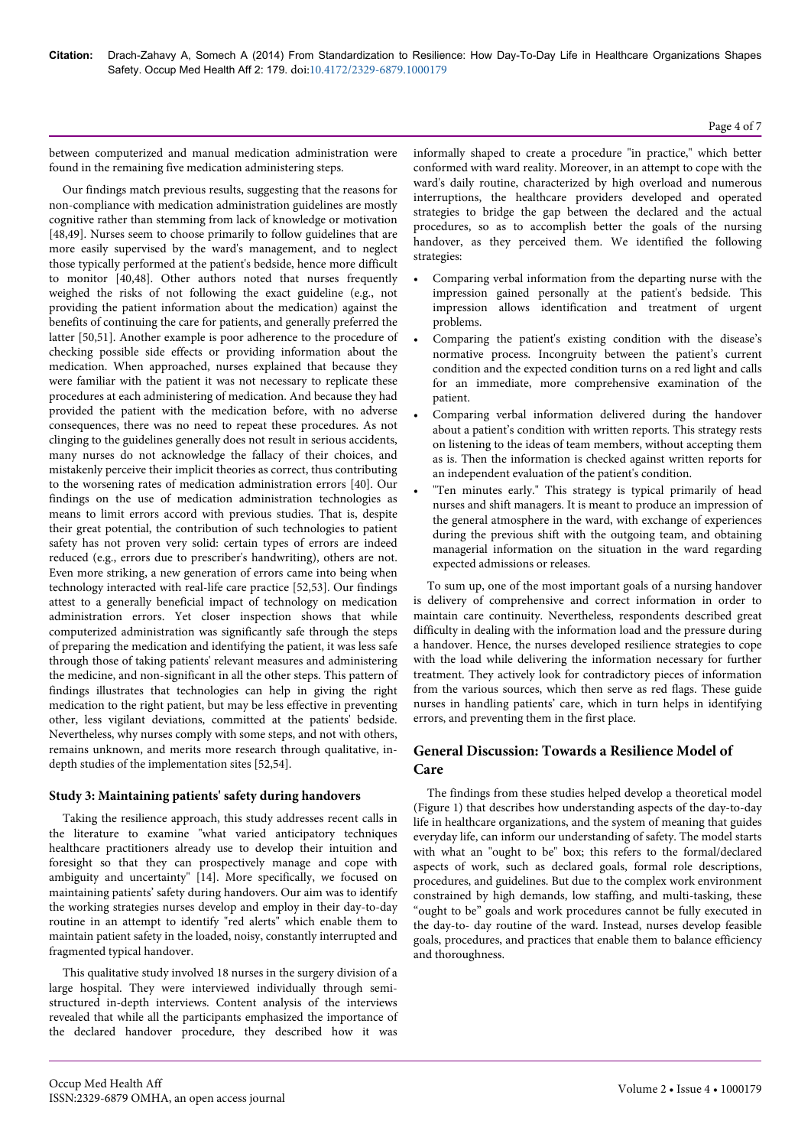#### Page 4 of 7

between computerized and manual medication administration were found in the remaining five medication administering steps.

Our findings match previous results, suggesting that the reasons for non-compliance with medication administration guidelines are mostly cognitive rather than stemming from lack of knowledge or motivation [48,49]. Nurses seem to choose primarily to follow guidelines that are more easily supervised by the ward's management, and to neglect those typically performed at the patient's bedside, hence more difficult to monitor [40,48]. Other authors noted that nurses frequently weighed the risks of not following the exact guideline (e.g., not providing the patient information about the medication) against the benefits of continuing the care for patients, and generally preferred the latter [50,51]. Another example is poor adherence to the procedure of checking possible side effects or providing information about the medication. When approached, nurses explained that because they were familiar with the patient it was not necessary to replicate these procedures at each administering of medication. And because they had provided the patient with the medication before, with no adverse consequences, there was no need to repeat these procedures. As not clinging to the guidelines generally does not result in serious accidents, many nurses do not acknowledge the fallacy of their choices, and mistakenly perceive their implicit theories as correct, thus contributing to the worsening rates of medication administration errors [40]. Our findings on the use of medication administration technologies as means to limit errors accord with previous studies. That is, despite their great potential, the contribution of such technologies to patient safety has not proven very solid: certain types of errors are indeed reduced (e.g., errors due to prescriber's handwriting), others are not. Even more striking, a new generation of errors came into being when technology interacted with real-life care practice [52,53]. Our findings attest to a generally beneficial impact of technology on medication administration errors. Yet closer inspection shows that while computerized administration was significantly safe through the steps of preparing the medication and identifying the patient, it was less safe through those of taking patients' relevant measures and administering the medicine, and non-significant in all the other steps. This pattern of findings illustrates that technologies can help in giving the right medication to the right patient, but may be less effective in preventing other, less vigilant deviations, committed at the patients' bedside. Nevertheless, why nurses comply with some steps, and not with others, remains unknown, and merits more research through qualitative, indepth studies of the implementation sites [52,54].

# **Study 3: Maintaining patients' safety during handovers**

Taking the resilience approach, this study addresses recent calls in the literature to examine "what varied anticipatory techniques healthcare practitioners already use to develop their intuition and foresight so that they can prospectively manage and cope with ambiguity and uncertainty" [14]. More specifically, we focused on maintaining patients' safety during handovers. Our aim was to identify the working strategies nurses develop and employ in their day-to-day routine in an attempt to identify "red alerts" which enable them to maintain patient safety in the loaded, noisy, constantly interrupted and fragmented typical handover.

This qualitative study involved 18 nurses in the surgery division of a large hospital. They were interviewed individually through semistructured in-depth interviews. Content analysis of the interviews revealed that while all the participants emphasized the importance of the declared handover procedure, they described how it was informally shaped to create a procedure "in practice," which better conformed with ward reality. Moreover, in an attempt to cope with the ward's daily routine, characterized by high overload and numerous interruptions, the healthcare providers developed and operated strategies to bridge the gap between the declared and the actual procedures, so as to accomplish better the goals of the nursing handover, as they perceived them. We identified the following strategies:

- Comparing verbal information from the departing nurse with the impression gained personally at the patient's bedside. This impression allows identification and treatment of urgent problems.
- Comparing the patient's existing condition with the disease's normative process. Incongruity between the patient's current condition and the expected condition turns on a red light and calls for an immediate, more comprehensive examination of the patient.
- Comparing verbal information delivered during the handover about a patient's condition with written reports. This strategy rests on listening to the ideas of team members, without accepting them as is. Then the information is checked against written reports for an independent evaluation of the patient's condition.
- "Ten minutes early." This strategy is typical primarily of head nurses and shift managers. It is meant to produce an impression of the general atmosphere in the ward, with exchange of experiences during the previous shift with the outgoing team, and obtaining managerial information on the situation in the ward regarding expected admissions or releases.

To sum up, one of the most important goals of a nursing handover is delivery of comprehensive and correct information in order to maintain care continuity. Nevertheless, respondents described great difficulty in dealing with the information load and the pressure during a handover. Hence, the nurses developed resilience strategies to cope with the load while delivering the information necessary for further treatment. They actively look for contradictory pieces of information from the various sources, which then serve as red flags. These guide nurses in handling patients' care, which in turn helps in identifying errors, and preventing them in the first place.

# **General Discussion: Towards a Resilience Model of Care**

The findings from these studies helped develop a theoretical model (Figure 1) that describes how understanding aspects of the day-to-day life in healthcare organizations, and the system of meaning that guides everyday life, can inform our understanding of safety. The model starts with what an "ought to be" box; this refers to the formal/declared aspects of work, such as declared goals, formal role descriptions, procedures, and guidelines. But due to the complex work environment constrained by high demands, low staffing, and multi-tasking, these "ought to be" goals and work procedures cannot be fully executed in the day-to- day routine of the ward. Instead, nurses develop feasible goals, procedures, and practices that enable them to balance efficiency and thoroughness.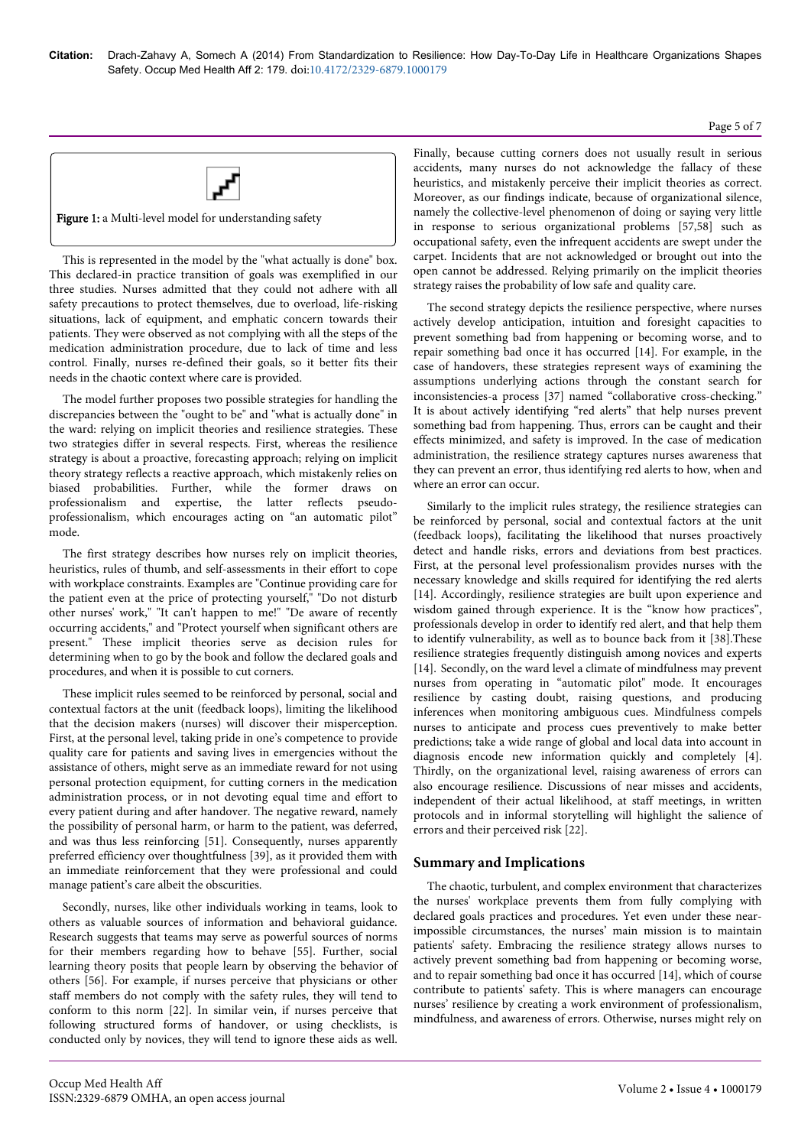# Page 5 of 7



Figure 1: a Multi-level model for understanding safety

This is represented in the model by the "what actually is done" box. This declared-in practice transition of goals was exemplified in our three studies. Nurses admitted that they could not adhere with all safety precautions to protect themselves, due to overload, life-risking situations, lack of equipment, and emphatic concern towards their patients. They were observed as not complying with all the steps of the medication administration procedure, due to lack of time and less control. Finally, nurses re-defined their goals, so it better fits their needs in the chaotic context where care is provided.

The model further proposes two possible strategies for handling the discrepancies between the "ought to be" and "what is actually done" in the ward: relying on implicit theories and resilience strategies. These two strategies differ in several respects. First, whereas the resilience strategy is about a proactive, forecasting approach; relying on implicit theory strategy reflects a reactive approach, which mistakenly relies on biased probabilities. Further, while the former draws on professionalism and expertise, the latter reflects pseudoprofessionalism, which encourages acting on "an automatic pilot" mode.

The first strategy describes how nurses rely on implicit theories, heuristics, rules of thumb, and self-assessments in their effort to cope with workplace constraints. Examples are "Continue providing care for the patient even at the price of protecting yourself," "Do not disturb other nurses' work," "It can't happen to me!" "De aware of recently occurring accidents," and "Protect yourself when significant others are present." These implicit theories serve as decision rules for determining when to go by the book and follow the declared goals and procedures, and when it is possible to cut corners.

These implicit rules seemed to be reinforced by personal, social and contextual factors at the unit (feedback loops), limiting the likelihood that the decision makers (nurses) will discover their misperception. First, at the personal level, taking pride in one's competence to provide quality care for patients and saving lives in emergencies without the assistance of others, might serve as an immediate reward for not using personal protection equipment, for cutting corners in the medication administration process, or in not devoting equal time and effort to every patient during and after handover. The negative reward, namely the possibility of personal harm, or harm to the patient, was deferred, and was thus less reinforcing [51]. Consequently, nurses apparently preferred efficiency over thoughtfulness [39], as it provided them with an immediate reinforcement that they were professional and could manage patient's care albeit the obscurities.

Secondly, nurses, like other individuals working in teams, look to others as valuable sources of information and behavioral guidance. Research suggests that teams may serve as powerful sources of norms for their members regarding how to behave [55]. Further, social learning theory posits that people learn by observing the behavior of others [56]. For example, if nurses perceive that physicians or other staff members do not comply with the safety rules, they will tend to conform to this norm [22]. In similar vein, if nurses perceive that following structured forms of handover, or using checklists, is conducted only by novices, they will tend to ignore these aids as well.

Finally, because cutting corners does not usually result in serious accidents, many nurses do not acknowledge the fallacy of these heuristics, and mistakenly perceive their implicit theories as correct. Moreover, as our findings indicate, because of organizational silence, namely the collective-level phenomenon of doing or saying very little in response to serious organizational problems [57,58] such as occupational safety, even the infrequent accidents are swept under the carpet. Incidents that are not acknowledged or brought out into the open cannot be addressed. Relying primarily on the implicit theories strategy raises the probability of low safe and quality care.

The second strategy depicts the resilience perspective, where nurses actively develop anticipation, intuition and foresight capacities to prevent something bad from happening or becoming worse, and to repair something bad once it has occurred [14]. For example, in the case of handovers, these strategies represent ways of examining the assumptions underlying actions through the constant search for inconsistencies-a process [37] named "collaborative cross-checking." It is about actively identifying "red alerts" that help nurses prevent something bad from happening. Thus, errors can be caught and their effects minimized, and safety is improved. In the case of medication administration, the resilience strategy captures nurses awareness that they can prevent an error, thus identifying red alerts to how, when and where an error can occur.

Similarly to the implicit rules strategy, the resilience strategies can be reinforced by personal, social and contextual factors at the unit (feedback loops), facilitating the likelihood that nurses proactively detect and handle risks, errors and deviations from best practices. First, at the personal level professionalism provides nurses with the necessary knowledge and skills required for identifying the red alerts [14]. Accordingly, resilience strategies are built upon experience and wisdom gained through experience. It is the "know how practices", professionals develop in order to identify red alert, and that help them to identify vulnerability, as well as to bounce back from it [38].These resilience strategies frequently distinguish among novices and experts [14]. Secondly, on the ward level a climate of mindfulness may prevent nurses from operating in "automatic pilot" mode. It encourages resilience by casting doubt, raising questions, and producing inferences when monitoring ambiguous cues. Mindfulness compels nurses to anticipate and process cues preventively to make better predictions; take a wide range of global and local data into account in diagnosis encode new information quickly and completely [4]. Thirdly, on the organizational level, raising awareness of errors can also encourage resilience. Discussions of near misses and accidents, independent of their actual likelihood, at staff meetings, in written protocols and in informal storytelling will highlight the salience of errors and their perceived risk [22].

# **Summary and Implications**

The chaotic, turbulent, and complex environment that characterizes the nurses' workplace prevents them from fully complying with declared goals practices and procedures. Yet even under these nearimpossible circumstances, the nurses' main mission is to maintain patients' safety. Embracing the resilience strategy allows nurses to actively prevent something bad from happening or becoming worse, and to repair something bad once it has occurred [14], which of course contribute to patients' safety. This is where managers can encourage nurses' resilience by creating a work environment of professionalism, mindfulness, and awareness of errors. Otherwise, nurses might rely on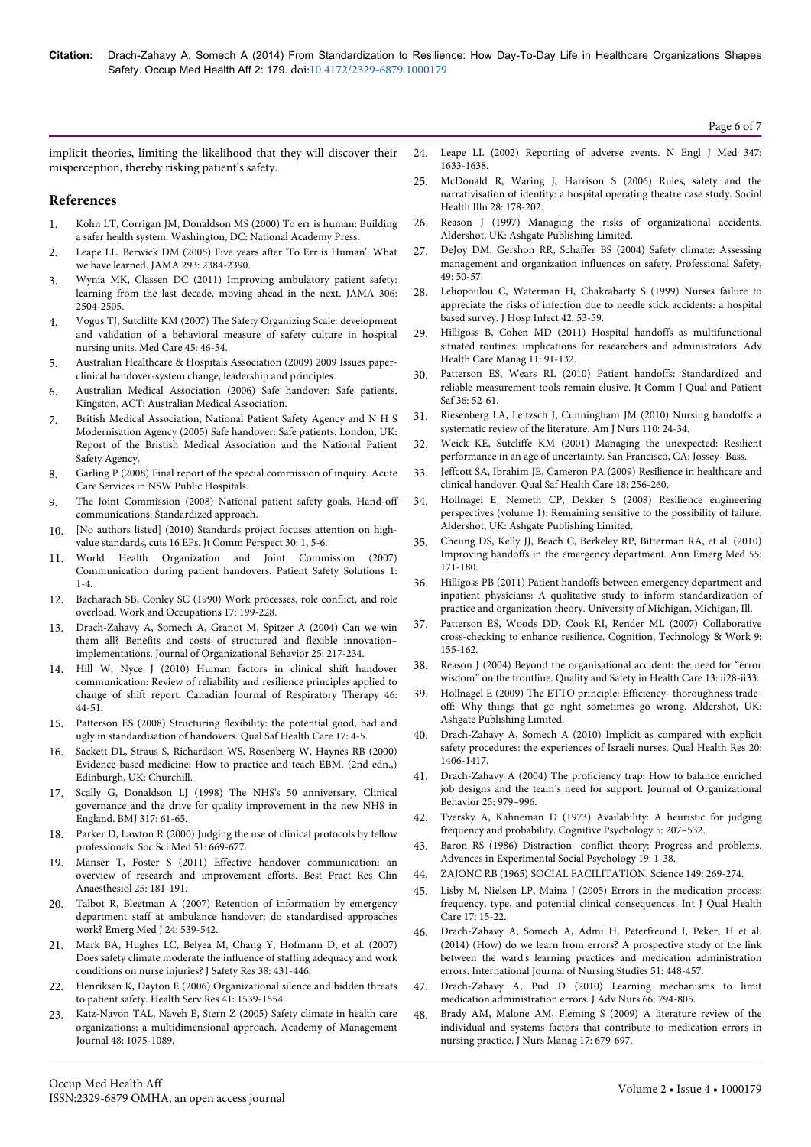implicit theories, limiting the likelihood that they will discover their misperception, thereby risking patient's safety.

#### **References**

- 1. [Kohn LT, Corrigan JM, Donaldson MS \(2000\) To err is human: Building](http://neurosurgery.ucsf.edu/tl_files/NS_Main/QI/IOM_To%20Err%20is%20Human.pdf) [a safer health system. Washington, DC: National Academy Press.](http://neurosurgery.ucsf.edu/tl_files/NS_Main/QI/IOM_To%20Err%20is%20Human.pdf)
- 2. [Leape LL, Berwick DM \(2005\) Five years after 'To Err is Human': What](http://www.ncbi.nlm.nih.gov/pubmed/15900009) [we have learned. JAMA 293: 2384-2390.](http://www.ncbi.nlm.nih.gov/pubmed/15900009)
- 3. [Wynia MK, Classen DC \(2011\) Improving ambulatory patient safety:](http://www.ncbi.nlm.nih.gov/pubmed/22166611) [learning from the last decade, moving ahead in the next. JAMA 306:](http://www.ncbi.nlm.nih.gov/pubmed/22166611) [2504-2505.](http://www.ncbi.nlm.nih.gov/pubmed/22166611)
- 4. [Vogus TJ, Sutcliffe KM \(2007\) The Safety Organizing Scale: development](http://www.ncbi.nlm.nih.gov/pubmed/17279020) [and validation of a behavioral measure of safety culture in hospital](http://www.ncbi.nlm.nih.gov/pubmed/17279020) [nursing units. Med Care 45: 46-54.](http://www.ncbi.nlm.nih.gov/pubmed/17279020)
- 5. [Australian Healthcare & Hospitals Association \(2009\) 2009 Issues paper](file:///C:/Users/ismail-ali/Downloads/Clinical%20Handover%20system%20change,%20leadership%20and%20principles.pdf)[clinical handover-system change, leadership and principles.](file:///C:/Users/ismail-ali/Downloads/Clinical%20Handover%20system%20change,%20leadership%20and%20principles.pdf)
- 6. Australian Medical Association (2006) Safe handover: Safe patients. Kingston, ACT: Australian Medical Association.
- 7. British Medical Association, National Patient Safety Agency and N H S Modernisation Agency (2005) Safe handover: Safe patients. London, UK: Report of the Bristish Medical Association and the National Patient Safety Agency.
- 8. Garling P (2008) Final report of the special commission of inquiry. Acute Care Services in NSW Public Hospitals.
- 9. The Joint Commission (2008) National patient safety goals. Hand-off communications: Standardized approach.
- 10. [\[No authors listed\] \(2010\) Standards project focuses attention on high](http://www.ncbi.nlm.nih.gov/pubmed/20632633)[value standards, cuts 16 EPs. Jt Comm Perspect 30: 1, 5-6.](http://www.ncbi.nlm.nih.gov/pubmed/20632633)
- 11. [World Health Organization and Joint Commission \(2007\)](http://www.who.int/patientsafety/solutions/patientsafety/PS-Solution3.pdf) [Communication during patient handovers. Patient Safety Solutions 1:](http://www.who.int/patientsafety/solutions/patientsafety/PS-Solution3.pdf) [1-4.](http://www.who.int/patientsafety/solutions/patientsafety/PS-Solution3.pdf)
- 12. [Bacharach SB, Conley SC \(1990\) Work processes, role conflict, and role](http://psycnet.apa.org/psycinfo/1990-26707-001) [overload. Work and Occupations 17: 199-228.](http://psycnet.apa.org/psycinfo/1990-26707-001)
- 13. [Drach-Zahavy A, Somech A, Granot M, Spitzer A \(2004\) Can we win](http://onlinelibrary.wiley.com/doi/10.1002/job.239/abstract) [them all? Benefits and costs of structured and flexible innovation–](http://onlinelibrary.wiley.com/doi/10.1002/job.239/abstract) [implementations. Journal of Organizational Behavior 25: 217-234.](http://onlinelibrary.wiley.com/doi/10.1002/job.239/abstract)
- 14. Hill W, Nyce J (2010) Human factors in clinical shift handover communication: Review of reliability and resilience principles applied to change of shift report. Canadian Journal of Respiratory Therapy 46: 44-51.
- 15. [Patterson ES \(2008\) Structuring flexibility: the potential good, bad and](http://www.ncbi.nlm.nih.gov/pubmed/18245211) [ugly in standardisation of handovers. Qual Saf Health Care 17: 4-5.](http://www.ncbi.nlm.nih.gov/pubmed/18245211)
- 16. Sackett DL, Straus S, Richardson WS, Rosenberg W, Haynes RB (2000) Evidence-based medicine: How to practice and teach EBM. (2nd edn.,) Edinburgh, UK: Churchill.
- 17. [Scally G, Donaldson LJ \(1998\) The NHS's 50 anniversary. Clinical](http://www.ncbi.nlm.nih.gov/pubmed/9651278) [governance and the drive for quality improvement in the new NHS in](http://www.ncbi.nlm.nih.gov/pubmed/9651278) [England. BMJ 317: 61-65.](http://www.ncbi.nlm.nih.gov/pubmed/9651278)
- 18. [Parker D, Lawton R \(2000\) Judging the use of clinical protocols by fellow](http://www.ncbi.nlm.nih.gov/pubmed/10975227) [professionals. Soc Sci Med 51: 669-677.](http://www.ncbi.nlm.nih.gov/pubmed/10975227)
- [Manser T, Foster S \(2011\) Effective handover communication: an](http://www.ncbi.nlm.nih.gov/pubmed/21550543) [overview of research and improvement efforts. Best Pract Res Clin](http://www.ncbi.nlm.nih.gov/pubmed/21550543) [Anaesthesiol 25: 181-191.](http://www.ncbi.nlm.nih.gov/pubmed/21550543)
- 20. [Talbot R, Bleetman A \(2007\) Retention of information by emergency](http://www.ncbi.nlm.nih.gov/pubmed/17652672) [department staff at ambulance handover: do standardised approaches](http://www.ncbi.nlm.nih.gov/pubmed/17652672) [work? Emerg Med J 24: 539-542.](http://www.ncbi.nlm.nih.gov/pubmed/17652672)
- 21. [Mark BA, Hughes LC, Belyea M, Chang Y, Hofmann D, et al. \(2007\)](http://www.ncbi.nlm.nih.gov/pubmed/17884430) [Does safety climate moderate the influence of staffing adequacy and work](http://www.ncbi.nlm.nih.gov/pubmed/17884430) [conditions on nurse injuries? J Safety Res 38: 431-446.](http://www.ncbi.nlm.nih.gov/pubmed/17884430)
- 22. [Henriksen K, Dayton E \(2006\) Organizational silence and hidden threats](http://www.ncbi.nlm.nih.gov/pubmed/16898978) [to patient safety. Health Serv Res 41: 1539-1554.](http://www.ncbi.nlm.nih.gov/pubmed/16898978)
- 23. [Katz-Navon TAL, Naveh E, Stern Z \(2005\) Safety climate in health care](http://papers.ssrn.com/sol3/papers.cfm?abstract_id=1127659) [organizations: a multidimensional approach. Academy of Management](http://papers.ssrn.com/sol3/papers.cfm?abstract_id=1127659) [Journal 48: 1075-1089.](http://papers.ssrn.com/sol3/papers.cfm?abstract_id=1127659)
- 24. [Leape LL \(2002\) Reporting of adverse events. N Engl J Med 347:](http://www.ncbi.nlm.nih.gov/pubmed/12432059) [1633-1638.](http://www.ncbi.nlm.nih.gov/pubmed/12432059)
- 25. [McDonald R, Waring J, Harrison S \(2006\) Rules, safety and the](http://www.ncbi.nlm.nih.gov/pubmed/16509952) [narrativisation of identity: a hospital operating theatre case study. Sociol](http://www.ncbi.nlm.nih.gov/pubmed/16509952) [Health Illn 28: 178-202.](http://www.ncbi.nlm.nih.gov/pubmed/16509952)
- 26. [Reason J \(1997\) Managing the risks of organizational accidents.](http://www.ashgate.com/isbn/9781840141047) [Aldershot, UK: Ashgate Publishing Limited.](http://www.ashgate.com/isbn/9781840141047)
- DeJoy DM, Gershon RR, Schaffer BS (2004) Safety climate: Assessing management and organization influences on safety. Professional Safety, 49: 50-57.
- 28. [Leliopoulou C, Waterman H, Chakrabarty S \(1999\) Nurses failure to](http://www.ncbi.nlm.nih.gov/pubmed/10363211) [appreciate the risks of infection due to needle stick accidents: a hospital](http://www.ncbi.nlm.nih.gov/pubmed/10363211) [based survey. J Hosp Infect 42: 53-59.](http://www.ncbi.nlm.nih.gov/pubmed/10363211)
- 29. [Hilligoss B, Cohen MD \(2011\) Hospital handoffs as multifunctional](http://www.ncbi.nlm.nih.gov/pubmed/22908667) [situated routines: implications for researchers and administrators. Adv](http://www.ncbi.nlm.nih.gov/pubmed/22908667) [Health Care Manag 11: 91-132.](http://www.ncbi.nlm.nih.gov/pubmed/22908667)
- 30. [Patterson ES, Wears RL \(2010\) Patient handoffs: Standardized and](http://www.ncbi.nlm.nih.gov/pubmed/20180437) [reliable measurement tools remain elusive. Jt Comm J Qual and Patient](http://www.ncbi.nlm.nih.gov/pubmed/20180437) [Saf 36: 52-61](http://www.ncbi.nlm.nih.gov/pubmed/20180437).
- [Riesenberg LA, Leitzsch J, Cunningham JM \(2010\) Nursing handoffs: a](http://www.ncbi.nlm.nih.gov/pubmed/20335686) [systematic review of the literature. Am J Nurs 110: 24-34.](http://www.ncbi.nlm.nih.gov/pubmed/20335686)
- 32. Weick KE, Sutcliffe KM (2001) Managing the unexpected: Resilient performance in an age of uncertainty. San Francisco, CA: Jossey- Bass.
- 33. [Jeffcott SA, Ibrahim JE, Cameron PA \(2009\) Resilience in healthcare and](http://www.ncbi.nlm.nih.gov/pubmed/19651927) [clinical handover. Qual Saf Health Care 18: 256-260.](http://www.ncbi.nlm.nih.gov/pubmed/19651927)
- 34. [Hollnagel E, Nemeth CP, Dekker S \(2008\) Resilience engineering](http://erikhollnagel.com/books/resilience-engineering-perspectives-vol-1.html) [perspectives \(volume 1\): Remaining sensitive to the possibility of failure.](http://erikhollnagel.com/books/resilience-engineering-perspectives-vol-1.html) [Aldershot, UK: Ashgate Publishing Limited.](http://erikhollnagel.com/books/resilience-engineering-perspectives-vol-1.html)
- 35. [Cheung DS, Kelly JJ, Beach C, Berkeley RP, Bitterman RA, et al. \(2010\)](http://www.ncbi.nlm.nih.gov/pubmed/19800711) [Improving handoffs in the emergency department. Ann Emerg Med 55:](http://www.ncbi.nlm.nih.gov/pubmed/19800711) [171-180.](http://www.ncbi.nlm.nih.gov/pubmed/19800711)
- 36. [Hilligoss PB \(2011\) Patient handoffs between emergency department and](http://deepblue.lib.umich.edu/bitstream/handle/2027.42/86293/bhilligo_1.pdf?sequence=1) [inpatient physicians: A qualitative study to inform standardization of](http://deepblue.lib.umich.edu/bitstream/handle/2027.42/86293/bhilligo_1.pdf?sequence=1) [practice and organization theory. University of Michigan, Michigan, Ill.](http://deepblue.lib.umich.edu/bitstream/handle/2027.42/86293/bhilligo_1.pdf?sequence=1)
- 37. [Patterson ES, Woods DD, Cook RI, Render ML \(2007\) Collaborative](http://link.springer.com/article/10.1007%2Fs10111-006-0054-8) [cross-checking to enhance resilience. Cognition, Technology & Work 9:](http://link.springer.com/article/10.1007%2Fs10111-006-0054-8) [155-162](http://link.springer.com/article/10.1007%2Fs10111-006-0054-8).
- 38. [Reason J \(2004\) Beyond the organisational accident: the need for "error](http://qualitysafety.bmj.com/content/13/suppl_2/ii28.abstract) [wisdom" on the frontline. Quality and Safety in Health Care 13: ii28-ii33.](http://qualitysafety.bmj.com/content/13/suppl_2/ii28.abstract)
- 39. [Hollnagel E \(2009\) The ETTO principle: Efficiency- thoroughness trade](http://www.ashgate.com/isbn/9780754676782)[off: Why things that go right sometimes go wrong. Aldershot, UK:](http://www.ashgate.com/isbn/9780754676782) [Ashgate Publishing Limited.](http://www.ashgate.com/isbn/9780754676782)
- 40. [Drach-Zahavy A, Somech A \(2010\) Implicit as compared with explicit](http://www.ncbi.nlm.nih.gov/pubmed/20547775) [safety procedures: the experiences of Israeli nurses. Qual Health Res 20:](http://www.ncbi.nlm.nih.gov/pubmed/20547775) [1406-1417.](http://www.ncbi.nlm.nih.gov/pubmed/20547775)
- 41. [Drach-Zahavy A \(2004\) The proficiency trap: How to balance enriched](http://onlinelibrary.wiley.com/doi/10.1002/job.284/abstract) [job designs and the team's need for support. Journal of Organizational](http://onlinelibrary.wiley.com/doi/10.1002/job.284/abstract) [Behavior 25: 979–996.](http://onlinelibrary.wiley.com/doi/10.1002/job.284/abstract)
- 42. [Tversky A, Kahneman D \(1973\) Availability: A heuristic for judging](http://dtserv2.compsy.uni-jena.de/__C1257641005FF6B0.nsf/0/1538BC6A54743092C125764700444391/$FILE/TVERSKY+Availability+A+heuristic+for+judging+frequency+and+probality.pdf) [frequency and probability. Cognitive Psychology 5: 207–532.](http://dtserv2.compsy.uni-jena.de/__C1257641005FF6B0.nsf/0/1538BC6A54743092C125764700444391/$FILE/TVERSKY+Availability+A+heuristic+for+judging+frequency+and+probality.pdf)
- 43. Baron RS (1986) Distraction- conflict theory: Progress and problems. Advances in Experimental Social Psychology 19: 1-38.
- 44. [ZAJONC RB \(1965\) SOCIAL FACILITATION. Science 149: 269-274.](http://www.ncbi.nlm.nih.gov/pubmed/14300526)
- 45. [Lisby M, Nielsen LP, Mainz J \(2005\) Errors in the medication process:](http://www.ncbi.nlm.nih.gov/pubmed/15668306) [frequency, type, and potential clinical consequences. Int J Qual Health](http://www.ncbi.nlm.nih.gov/pubmed/15668306) [Care 17: 15-22.](http://www.ncbi.nlm.nih.gov/pubmed/15668306)
- 46. Drach-Zahavy A, Somech A, Admi H, Peterfreund I, Peker, H et al. (2014) (How) do we learn from errors? A prospective study of the link between the ward's learning practices and medication administration errors. International Journal of Nursing Studies 51: 448-457.
- 47. [Drach-Zahavy A, Pud D \(2010\) Learning mechanisms to limit](http://www.ncbi.nlm.nih.gov/pubmed/20423367) [medication administration errors. J Adv Nurs 66: 794-805.](http://www.ncbi.nlm.nih.gov/pubmed/20423367)
- 48. [Brady AM, Malone AM, Fleming S \(2009\) A literature review of the](http://www.ncbi.nlm.nih.gov/pubmed/19694912) [individual and systems factors that contribute to medication errors in](http://www.ncbi.nlm.nih.gov/pubmed/19694912) [nursing practice. J Nurs Manag 17: 679-697.](http://www.ncbi.nlm.nih.gov/pubmed/19694912)